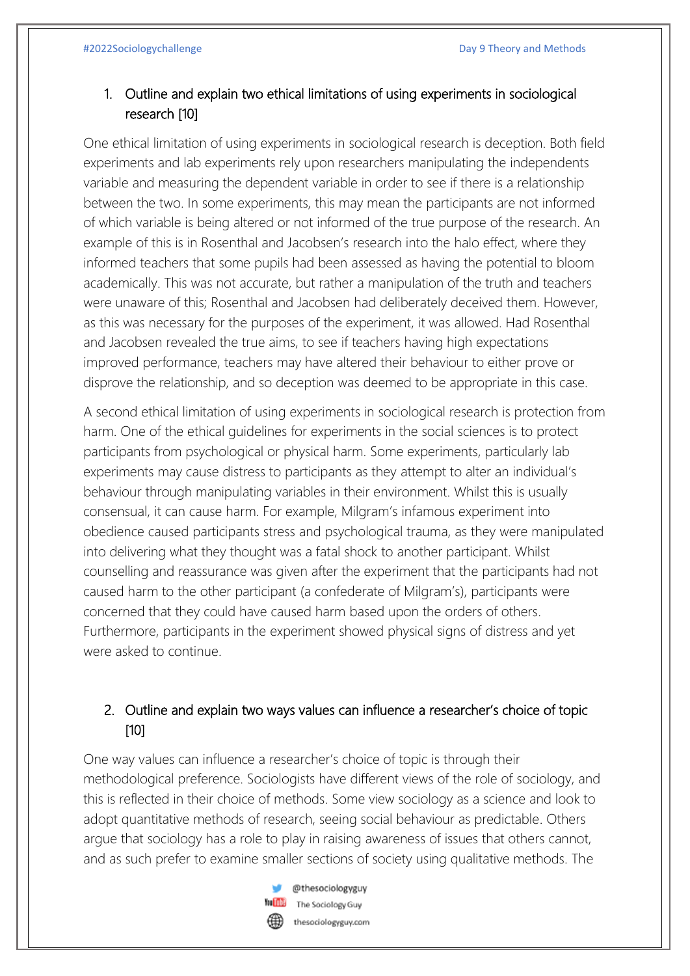## 1. Outline and explain two ethical limitations of using experiments in sociological research [10]

One ethical limitation of using experiments in sociological research is deception. Both field experiments and lab experiments rely upon researchers manipulating the independents variable and measuring the dependent variable in order to see if there is a relationship between the two. In some experiments, this may mean the participants are not informed of which variable is being altered or not informed of the true purpose of the research. An example of this is in Rosenthal and Jacobsen's research into the halo effect, where they informed teachers that some pupils had been assessed as having the potential to bloom academically. This was not accurate, but rather a manipulation of the truth and teachers were unaware of this; Rosenthal and Jacobsen had deliberately deceived them. However, as this was necessary for the purposes of the experiment, it was allowed. Had Rosenthal and Jacobsen revealed the true aims, to see if teachers having high expectations improved performance, teachers may have altered their behaviour to either prove or disprove the relationship, and so deception was deemed to be appropriate in this case.

A second ethical limitation of using experiments in sociological research is protection from harm. One of the ethical guidelines for experiments in the social sciences is to protect participants from psychological or physical harm. Some experiments, particularly lab experiments may cause distress to participants as they attempt to alter an individual's behaviour through manipulating variables in their environment. Whilst this is usually consensual, it can cause harm. For example, Milgram's infamous experiment into obedience caused participants stress and psychological trauma, as they were manipulated into delivering what they thought was a fatal shock to another participant. Whilst counselling and reassurance was given after the experiment that the participants had not caused harm to the other participant (a confederate of Milgram's), participants were concerned that they could have caused harm based upon the orders of others. Furthermore, participants in the experiment showed physical signs of distress and yet were asked to continue.

## 2. Outline and explain two ways values can influence a researcher's choice of topic [10]

One way values can influence a researcher's choice of topic is through their methodological preference. Sociologists have different views of the role of sociology, and this is reflected in their choice of methods. Some view sociology as a science and look to adopt quantitative methods of research, seeing social behaviour as predictable. Others argue that sociology has a role to play in raising awareness of issues that others cannot, and as such prefer to examine smaller sections of society using qualitative methods. The



@thesociologyguy The Sociology Guy thesociologyguy.com